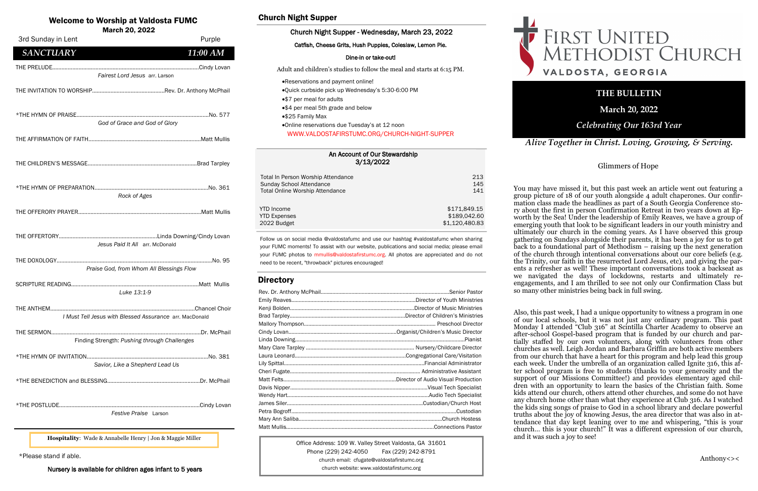An Account of Our Stewardship 3/13/2022





| Total In Person Worship Attendance     | 213            |
|----------------------------------------|----------------|
| Sunday School Attendance               | 145            |
| <b>Total Online Worship Attendance</b> | 141            |
| <b>YTD</b> Income                      | \$171,849.15   |
| <b>YTD Expenses</b>                    | \$189,042.60   |
| 2022 Budget                            | \$1,120,480.83 |

### Welcome to Worship at Valdosta FUMC

March 20, 2022

Office Address: 109 W. Valley Street Valdosta, GA 31601 Phone (229) 242-4050 Fax (229) 242-8791 church email: cfugate@valdostafirstumc.org church website: www.valdostafirstumc.org

*Alive Together in Christ. Loving, Growing, & Serving.*

### **THE BULLETIN**

**March 20, 2022**

### *Celebrating Our 163rd Year*

Follow us on social media @valdostafumc and use our hashtag #valdostafumc when sharing your FUMC moments! To assist with our website, publications and social media; please email your FUMC photos to mmullis@valdostafirstumc.org. All photos are appreciated and do not need to be recent, "throwback" pictures encouraged!

### **Directory**

### Church Night Supper

### Church Night Supper - Wednesday, March 23, 2022

Catfish, Cheese Grits, Hush Puppies, Coleslaw, Lemon Pie.

### Dine-in or take-out!

Adult and children's studies to follow the meal and starts at 6:15 PM.

- •Reservations and payment online!
- •Quick curbside pick up Wednesday's 5:30-6:00 PM
- •\$7 per meal for adults
- •\$4 per meal 5th grade and below
- •\$25 Family Max
- •Online reservations due Tuesday's at 12 noon WWW.VALDOSTAFIRSTUMC.ORG/CHURCH-NIGHT-SUPPER

\*Please stand if able.

Nursery is available for children ages infant to 5 years

**Hospitality**: Wade & Annabelle Henry | Jon & Maggie Miller

| 3rd Sunday in Lent                                      | Purple   |
|---------------------------------------------------------|----------|
| <b>SANCTUARY</b>                                        | 11:00 AM |
|                                                         |          |
| Fairest Lord Jesus arr. Larson                          |          |
|                                                         |          |
|                                                         |          |
| God of Grace and God of Glory                           |          |
|                                                         |          |
|                                                         |          |
|                                                         |          |
|                                                         |          |
| Rock of Ages                                            |          |
|                                                         |          |
|                                                         |          |
| Jesus Paid It All arr. McDonald                         |          |
|                                                         |          |
| Praise God, from Whom All Blessings Flow                |          |
| Luke 13:1-9                                             |          |
|                                                         |          |
| I Must Tell Jesus with Blessed Assurance arr. MacDonald |          |
| Finding Strength: Pushing through Challenges            |          |
|                                                         |          |
| Savior, Like a Shepherd Lead Us                         |          |
|                                                         |          |
|                                                         |          |
| Festive Praise Larson                                   |          |
|                                                         |          |

### Glimmers of Hope

You may have missed it, but this past week an article went out featuring a group picture of 18 of our youth alongside 4 adult chaperones. Our confirmation class made the headlines as part of a South Georgia Conference story about the first in person Confirmation Retreat in two years down at Epworth by the Sea! Under the leadership of Emily Reaves, we have a group of emerging youth that look to be significant leaders in our youth ministry and ultimately our church in the coming years. As I have observed this group gathering on Sundays alongside their parents, it has been a joy for us to get back to a foundational part of Methodism – raising up the next generation of the church through intentional conversations about our core beliefs (e.g. the Trinity, our faith in the resurrected Lord Jesus, etc), and giving the parents a refresher as well! These important conversations took a backseat as we navigated the days of lockdowns, restarts and ultimately reengagements, and I am thrilled to see not only our Confirmation Class but so many other ministries being back in full swing.

Also, this past week, I had a unique opportunity to witness a program in one of our local schools, but it was not just any ordinary program. This past Monday I attended "Club 316" at Scintilla Charter Academy to observe an after-school Gospel-based program that is funded by our church and partially staffed by our own volunteers, along with volunteers from other churches as well. Leigh Jordan and Barbara Griffin are both active members from our church that have a heart for this program and help lead this group each week. Under the umbrella of an organization called Ignite 316, this after school program is free to students (thanks to your generosity and the support of our Missions Committee!) and provides elementary aged children with an opportunity to learn the basics of the Christian faith. Some kids attend our church, others attend other churches, and some do not have any church home other than what they experience at Club 316. As I watched the kids sing songs of praise to God in a school library and declare powerful truths about the joy of knowing Jesus, the area director that was also in attendance that day kept leaning over to me and whispering, "this is your church… this is your church!" It was a different expression of our church, and it was such a joy to see!

# FIRST UNITED<br>METHODIST CHURCH VALDOSTA, GEORGIA